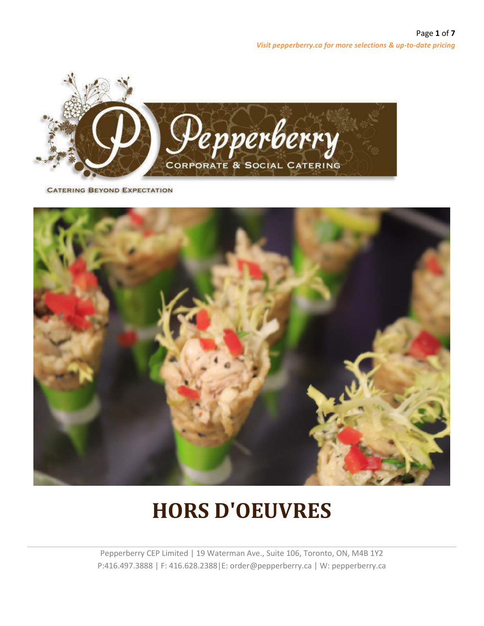

**CATERING BEYOND EXPECTATION** 



# **HORS D'OEUVRES**

Pepperberry CEP Limited | 19 Waterman Ave., Suite 106, Toronto, ON, M4B 1Y2 P:416.497.3888 | F: 416.628.2388|E: order@pepperberry.ca | W: pepperberry.ca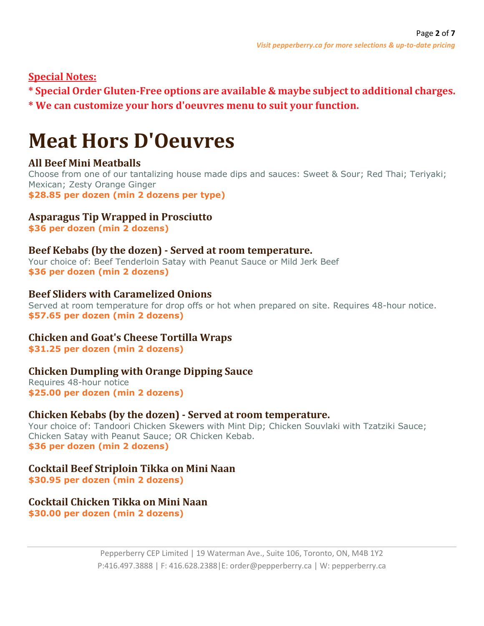# **Special Notes:**

**\* Special Order Gluten-Free options are available & maybe subjectto additional charges.**

**\* We can customize your hors d'oeuvres menu to suit your function.**

# **Meat Hors D'Oeuvres**

# **All Beef Mini Meatballs**

Choose from one of our tantalizing house made dips and sauces: Sweet & Sour; Red Thai; Teriyaki; Mexican; Zesty Orange Ginger **\$28.85 per dozen (min 2 dozens per type)**

# **Asparagus Tip Wrapped in Prosciutto**

**\$36 per dozen (min 2 dozens)**

## **Beef Kebabs (by the dozen) - Served at room temperature.**

Your choice of: Beef Tenderloin Satay with Peanut Sauce or Mild Jerk Beef **\$36 per dozen (min 2 dozens)**

## **Beef Sliders with Caramelized Onions**

Served at room temperature for drop offs or hot when prepared on site. Requires 48-hour notice. **\$57.65 per dozen (min 2 dozens)**

# **Chicken and Goat's Cheese Tortilla Wraps**

**\$31.25 per dozen (min 2 dozens)**

# **Chicken Dumpling with Orange Dipping Sauce**

Requires 48-hour notice **\$25.00 per dozen (min 2 dozens)**

## **Chicken Kebabs (by the dozen) - Served at room temperature.**

Your choice of: Tandoori Chicken Skewers with Mint Dip; Chicken Souvlaki with Tzatziki Sauce; Chicken Satay with Peanut Sauce; OR Chicken Kebab. **\$36 per dozen (min 2 dozens)**

# **Cocktail Beef Striploin Tikka on Mini Naan**

**\$30.95 per dozen (min 2 dozens)**

# **Cocktail Chicken Tikka on Mini Naan**

**\$30.00 per dozen (min 2 dozens)**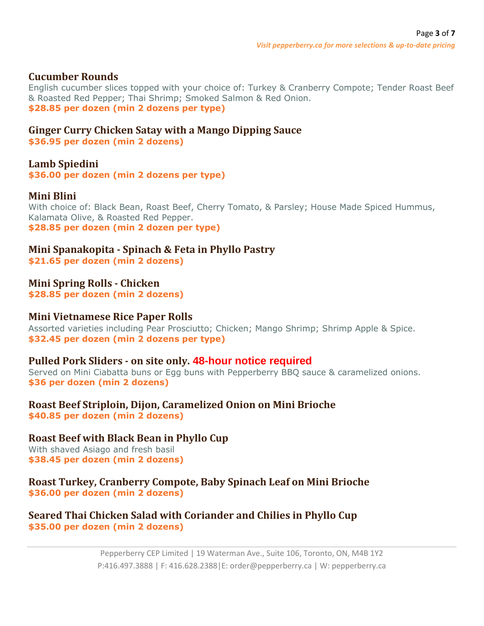### **Cucumber Rounds**

English cucumber slices topped with your choice of: Turkey & Cranberry Compote; Tender Roast Beef & Roasted Red Pepper; Thai Shrimp; Smoked Salmon & Red Onion. **\$28.85 per dozen (min 2 dozens per type)**

# **Ginger Curry Chicken Satay with a Mango Dipping Sauce**

**\$36.95 per dozen (min 2 dozens)**

#### **Lamb Spiedini**

**\$36.00 per dozen (min 2 dozens per type)**

#### **Mini Blini**

With choice of: Black Bean, Roast Beef, Cherry Tomato, & Parsley; House Made Spiced Hummus, Kalamata Olive, & Roasted Red Pepper. **\$28.85 per dozen (min 2 dozen per type)**

**Mini Spanakopita - Spinach & Feta in Phyllo Pastry \$21.65 per dozen (min 2 dozens)**

**Mini Spring Rolls - Chicken \$28.85 per dozen (min 2 dozens)**

#### **Mini Vietnamese Rice Paper Rolls**

Assorted varieties including Pear Prosciutto; Chicken; Mango Shrimp; Shrimp Apple & Spice. **\$32.45 per dozen (min 2 dozens per type)**

#### **Pulled Pork Sliders - on site only. 48-hour notice required**

Served on Mini Ciabatta buns or Egg buns with Pepperberry BBQ sauce & caramelized onions. **\$36 per dozen (min 2 dozens)**

**Roast Beef Striploin, Dijon, Caramelized Onion on Mini Brioche \$40.85 per dozen (min 2 dozens)**

**Roast Beef with Black Bean in Phyllo Cup** With shaved Asiago and fresh basil **\$38.45 per dozen (min 2 dozens)**

**Roast Turkey, Cranberry Compote, Baby Spinach Leaf on Mini Brioche \$36.00 per dozen (min 2 dozens)**

#### **Seared Thai Chicken Salad with Coriander and Chilies in Phyllo Cup \$35.00 per dozen (min 2 dozens)**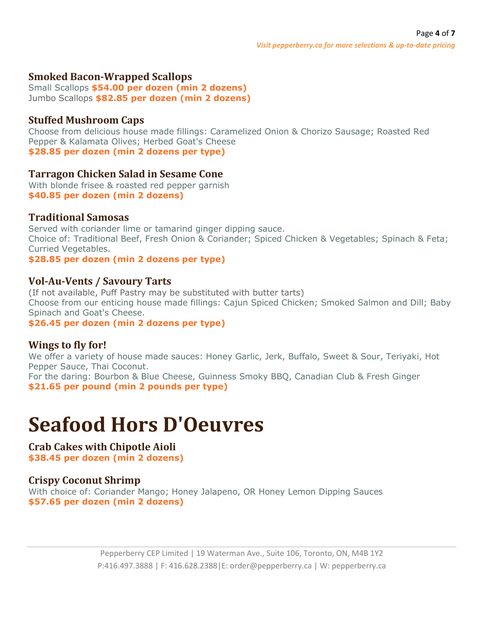## **Smoked Bacon-Wrapped Scallops**

Small Scallops **\$54.00 per dozen (min 2 dozens)** Jumbo Scallops **\$82.85 per dozen (min 2 dozens)**

## **Stuffed Mushroom Caps**

Choose from delicious house made fillings: Caramelized Onion & Chorizo Sausage; Roasted Red Pepper & Kalamata Olives; Herbed Goat's Cheese **\$28.85 per dozen (min 2 dozens per type)**

## **Tarragon Chicken Salad in Sesame Cone**

With blonde frisee & roasted red pepper garnish **\$40.85 per dozen (min 2 dozens)**

## **Traditional Samosas**

Served with coriander lime or tamarind ginger dipping sauce. Choice of: Traditional Beef, Fresh Onion & Coriander; Spiced Chicken & Vegetables; Spinach & Feta; Curried Vegetables.

**\$28.85 per dozen (min 2 dozens per type)**

## **Vol-Au-Vents / Savoury Tarts**

(If not available, Puff Pastry may be substituted with butter tarts) Choose from our enticing house made fillings: Cajun Spiced Chicken; Smoked Salmon and Dill; Baby Spinach and Goat's Cheese.

**\$26.45 per dozen (min 2 dozens per type)**

## **Wings to fly for!**

We offer a variety of house made sauces: Honey Garlic, Jerk, Buffalo, Sweet & Sour, Teriyaki, Hot Pepper Sauce, Thai Coconut. For the daring: Bourbon & Blue Cheese, Guinness Smoky BBQ, Canadian Club & Fresh Ginger **\$21.65 per pound (min 2 pounds per type)**

# **Seafood Hors D'Oeuvres**

**Crab Cakes with Chipotle Aioli \$38.45 per dozen (min 2 dozens)**

# **Crispy Coconut Shrimp**

With choice of: Coriander Mango; Honey Jalapeno, OR Honey Lemon Dipping Sauces **\$57.65 per dozen (min 2 dozens)**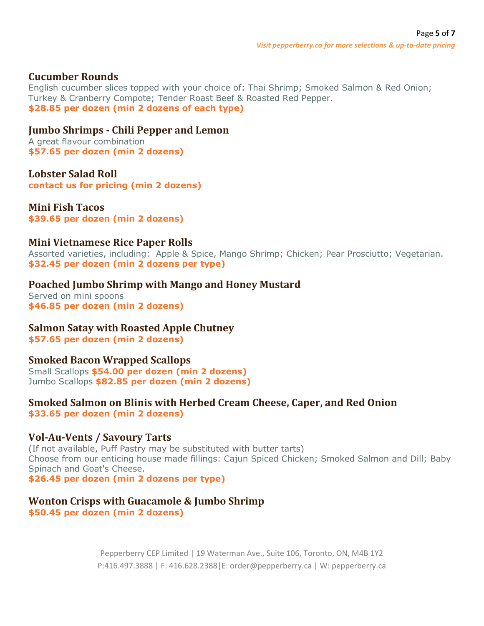## **Cucumber Rounds**

English cucumber slices topped with your choice of: Thai Shrimp; Smoked Salmon & Red Onion; Turkey & Cranberry Compote; Tender Roast Beef & Roasted Red Pepper. **\$28.85 per dozen (min 2 dozens of each type)**

#### **Jumbo Shrimps - Chili Pepper and Lemon**

A great flavour combination **\$57.65 per dozen (min 2 dozens)**

**Lobster Salad Roll contact us for pricing (min 2 dozens)**

**Mini Fish Tacos**

**\$39.65 per dozen (min 2 dozens)**

#### **Mini Vietnamese Rice Paper Rolls**

Assorted varieties, including: Apple & Spice, Mango Shrimp; Chicken; Pear Prosciutto; Vegetarian. **\$32.45 per dozen (min 2 dozens per type)**

#### **Poached Jumbo Shrimp with Mango and Honey Mustard**

Served on mini spoons **\$46.85 per dozen (min 2 dozens)**

## **Salmon Satay with Roasted Apple Chutney**

**\$57.65 per dozen (min 2 dozens)**

## **Smoked Bacon Wrapped Scallops**

Small Scallops **\$54.00 per dozen (min 2 dozens)** Jumbo Scallops **\$82.85 per dozen (min 2 dozens)**

# **Smoked Salmon on Blinis with Herbed Cream Cheese, Caper, and Red Onion**

**\$33.65 per dozen (min 2 dozens)**

## **Vol-Au-Vents / Savoury Tarts**

(If not available, Puff Pastry may be substituted with butter tarts) Choose from our enticing house made fillings: Cajun Spiced Chicken; Smoked Salmon and Dill; Baby Spinach and Goat's Cheese.

**\$26.45 per dozen (min 2 dozens per type)**

## **Wonton Crisps with Guacamole & Jumbo Shrimp**

**\$50.45 per dozen (min 2 dozens)**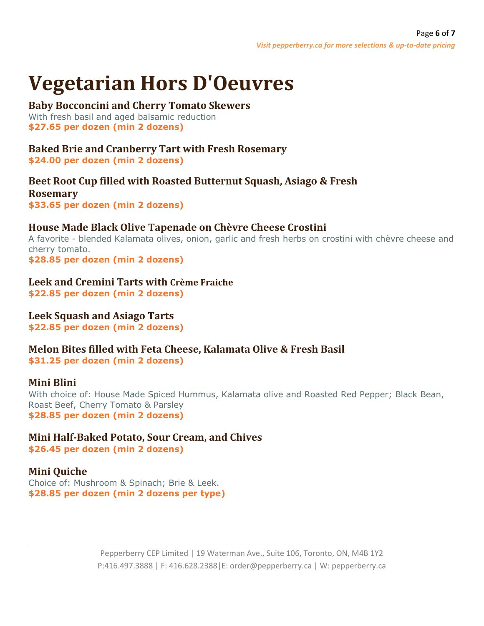# **Vegetarian Hors D'Oeuvres**

#### **Baby Bocconcini and Cherry Tomato Skewers**

With fresh basil and aged balsamic reduction **\$27.65 per dozen (min 2 dozens)**

# **Baked Brie and Cranberry Tart with Fresh Rosemary**

**\$24.00 per dozen (min 2 dozens)**

## **Beet Root Cup filled with Roasted Butternut Squash, Asiago & Fresh Rosemary \$33.65 per dozen (min 2 dozens)**

# **House Made Black Olive Tapenade on Chèvre Cheese Crostini**

A favorite - blended Kalamata olives, onion, garlic and fresh herbs on crostini with chèvre cheese and cherry tomato. **\$28.85 per dozen (min 2 dozens)**

**Leek and Cremini Tarts with Crème Fraiche**

**\$22.85 per dozen (min 2 dozens)**

# **Leek Squash and Asiago Tarts**

**\$22.85 per dozen (min 2 dozens)**

**Melon Bites filled with Feta Cheese, Kalamata Olive & Fresh Basil \$31.25 per dozen (min 2 dozens)**

# **Mini Blini**

With choice of: House Made Spiced Hummus, Kalamata olive and Roasted Red Pepper; Black Bean, Roast Beef, Cherry Tomato & Parsley **\$28.85 per dozen (min 2 dozens)**

**Mini Half-Baked Potato, Sour Cream, and Chives \$26.45 per dozen (min 2 dozens)**

# **Mini Quiche**

Choice of: Mushroom & Spinach; Brie & Leek. **\$28.85 per dozen (min 2 dozens per type)**